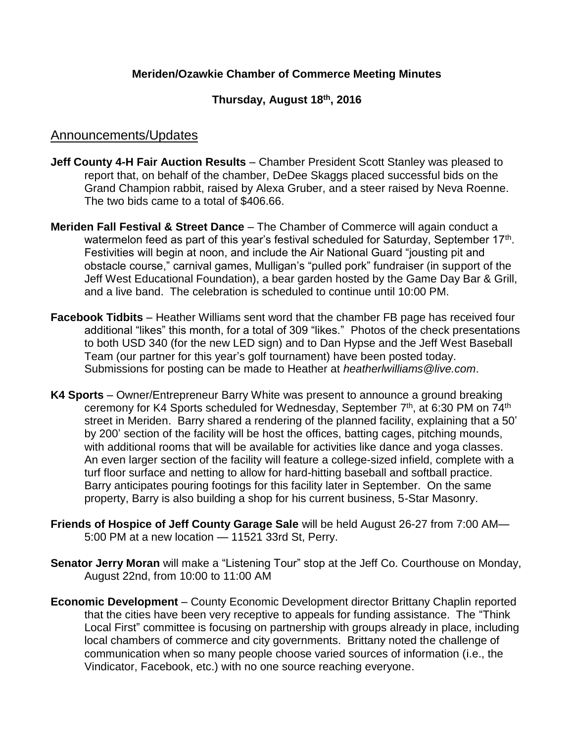## **Meriden/Ozawkie Chamber of Commerce Meeting Minutes**

## **Thursday, August 18th, 2016**

## Announcements/Updates

- **Jeff County 4-H Fair Auction Results** Chamber President Scott Stanley was pleased to report that, on behalf of the chamber, DeDee Skaggs placed successful bids on the Grand Champion rabbit, raised by Alexa Gruber, and a steer raised by Neva Roenne. The two bids came to a total of \$406.66.
- **Meriden Fall Festival & Street Dance**  The Chamber of Commerce will again conduct a watermelon feed as part of this year's festival scheduled for Saturday, September 17<sup>th</sup>. Festivities will begin at noon, and include the Air National Guard "jousting pit and obstacle course," carnival games, Mulligan's "pulled pork" fundraiser (in support of the Jeff West Educational Foundation), a bear garden hosted by the Game Day Bar & Grill, and a live band. The celebration is scheduled to continue until 10:00 PM.
- **Facebook Tidbits** Heather Williams sent word that the chamber FB page has received four additional "likes" this month, for a total of 309 "likes." Photos of the check presentations to both USD 340 (for the new LED sign) and to Dan Hypse and the Jeff West Baseball Team (our partner for this year's golf tournament) have been posted today. Submissions for posting can be made to Heather at *heatherlwilliams@live.com*.
- **K4 Sports** Owner/Entrepreneur Barry White was present to announce a ground breaking ceremony for K4 Sports scheduled for Wednesday, September 7<sup>th</sup>, at 6:30 PM on 74<sup>th</sup> street in Meriden. Barry shared a rendering of the planned facility, explaining that a 50' by 200' section of the facility will be host the offices, batting cages, pitching mounds, with additional rooms that will be available for activities like dance and yoga classes. An even larger section of the facility will feature a college-sized infield, complete with a turf floor surface and netting to allow for hard-hitting baseball and softball practice. Barry anticipates pouring footings for this facility later in September. On the same property, Barry is also building a shop for his current business, 5-Star Masonry.
- **Friends of Hospice of Jeff County Garage Sale** will be held August 26-27 from 7:00 AM— 5:00 PM at a new location — 11521 33rd St, Perry.
- **Senator Jerry Moran** will make a "Listening Tour" stop at the Jeff Co. Courthouse on Monday, August 22nd, from 10:00 to 11:00 AM
- **Economic Development** County Economic Development director Brittany Chaplin reported that the cities have been very receptive to appeals for funding assistance. The "Think Local First" committee is focusing on partnership with groups already in place, including local chambers of commerce and city governments. Brittany noted the challenge of communication when so many people choose varied sources of information (i.e., the Vindicator, Facebook, etc.) with no one source reaching everyone.